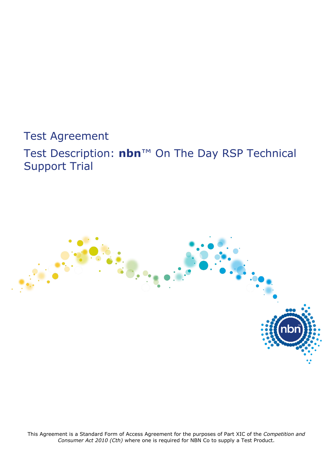# Test Agreement

Test Description: **nbn**™ On The Day RSP Technical Support Trial



This Agreement is a Standard Form of Access Agreement for the purposes of Part XIC of the *Competition and Consumer Act 2010 (Cth)* where one is required for NBN Co to supply a Test Product.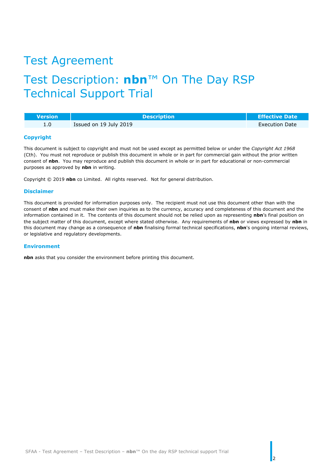# Test Agreement

# Test Description: **nbn**™ On The Day RSP Technical Support Trial

| <b>Nersion</b> | <b>Description</b>     | <b>Effective Date</b> |
|----------------|------------------------|-----------------------|
| 1.0            | Issued on 19 July 2019 | <b>Execution Date</b> |

#### **Copyright**

This document is subject to copyright and must not be used except as permitted below or under the *Copyright Act 1968* (Cth). You must not reproduce or publish this document in whole or in part for commercial gain without the prior written consent of **nbn**. You may reproduce and publish this document in whole or in part for educational or non-commercial purposes as approved by **nbn** in writing.

Copyright © 2019 **nbn** co Limited. All rights reserved. Not for general distribution.

#### **Disclaimer**

This document is provided for information purposes only. The recipient must not use this document other than with the consent of **nbn** and must make their own inquiries as to the currency, accuracy and completeness of this document and the information contained in it. The contents of this document should not be relied upon as representing **nbn**'s final position on the subject matter of this document, except where stated otherwise. Any requirements of **nbn** or views expressed by **nbn** in this document may change as a consequence of **nbn** finalising formal technical specifications, **nbn**'s ongoing internal reviews, or legislative and regulatory developments.

#### **Environment**

**nbn** asks that you consider the environment before printing this document.

2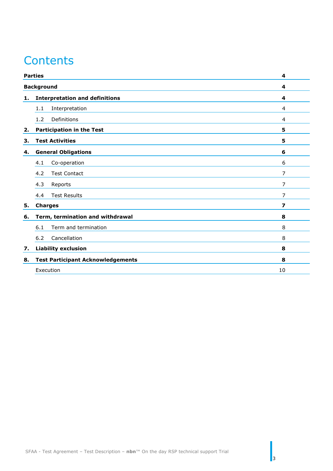# **Contents**

|    | <b>Parties</b>                           | 4              |
|----|------------------------------------------|----------------|
|    | <b>Background</b>                        | 4              |
| 1. | <b>Interpretation and definitions</b>    | 4              |
|    | Interpretation<br>1.1                    | 4              |
|    | Definitions<br>1.2                       | $\overline{4}$ |
| 2. | <b>Participation in the Test</b>         | 5              |
| з. | <b>Test Activities</b>                   | 5              |
| 4. | <b>General Obligations</b>               | 6              |
|    | Co-operation<br>4.1                      | 6              |
|    | 4.2<br><b>Test Contact</b>               | 7              |
|    | 4.3<br>Reports                           | 7              |
|    | <b>Test Results</b><br>4.4               | 7              |
| 5. | <b>Charges</b>                           | 7              |
| 6. | Term, termination and withdrawal         | 8              |
|    | Term and termination<br>6.1              | 8              |
|    | 6.2<br>Cancellation                      | 8              |
| 7. | <b>Liability exclusion</b>               | 8              |
| 8. | <b>Test Participant Acknowledgements</b> | 8              |
|    | Execution                                | 10             |

 $\vert$ <sub>3</sub>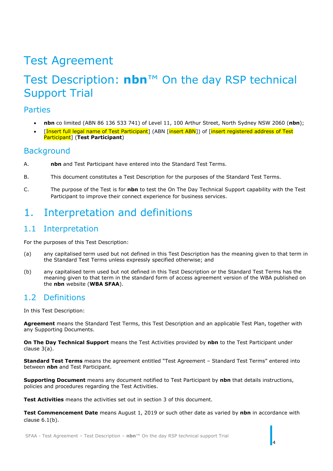# Test Agreement

# Test Description: **nbn**™ On the day RSP technical Support Trial

#### <span id="page-3-0"></span>Parties

- **nbn** co limited (ABN 86 136 533 741) of Level 11, 100 Arthur Street, North Sydney NSW 2060 (**nbn**);
- [Insert full legal name of Test Participant] (ABN [insert ABN]) of [insert registered address of Test Participant] (**Test Participant**)

### <span id="page-3-1"></span>**Background**

- A. **nbn** and Test Participant have entered into the Standard Test Terms.
- B. This document constitutes a Test Description for the purposes of the Standard Test Terms.
- C. The purpose of the Test is for **nbn** to test the On The Day Technical Support capability with the Test Participant to improve their connect experience for business services.

## <span id="page-3-2"></span>1. Interpretation and definitions

### <span id="page-3-3"></span>1.1 Interpretation

For the purposes of this Test Description:

- (a) any capitalised term used but not defined in this Test Description has the meaning given to that term in the Standard Test Terms unless expressly specified otherwise; and
- (b) any capitalised term used but not defined in this Test Description or the Standard Test Terms has the meaning given to that term in the standard form of access agreement version of the WBA published on the **nbn** website (**WBA SFAA**).

### <span id="page-3-4"></span>1.2 Definitions

In this Test Description:

**Agreement** means the Standard Test Terms, this Test Description and an applicable Test Plan, together with any Supporting Documents.

**On The Day Technical Support** means the Test Activities provided by **nbn** to the Test Participant under clause [3\(a\).](#page-4-2)

**Standard Test Terms** means the agreement entitled "Test Agreement – Standard Test Terms" entered into between **nbn** and Test Participant.

**Supporting Document** means any document notified to Test Participant by **nbn** that details instructions, policies and procedures regarding the Test Activities.

**Test Activities** means the activities set out in section 3 of this document.

**Test Commencement Date** means August 1, 2019 or such other date as varied by **nbn** in accordance with clause [6.1\(b\).](#page-7-5)

4

SFAA - Test Agreement – Test Description – **nbn**™ On the day RSP technical support Trial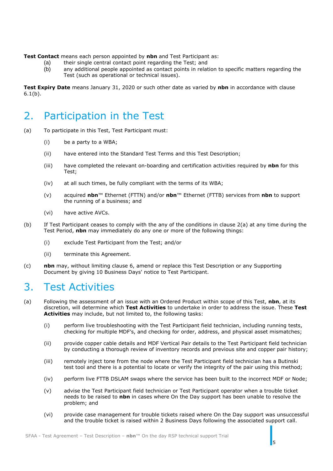**Test Contact** means each person appointed by **nbn** and Test Participant as:

- (a) their single central contact point regarding the Test; and
- (b) any additional people appointed as contact points in relation to specific matters regarding the Test (such as operational or technical issues).

**Test Expiry Date** means January 31, 2020 or such other date as varied by **nbn** in accordance with clause [6.1\(b\).](#page-7-5)

## <span id="page-4-0"></span>2. Participation in the Test

- (a) To participate in this Test, Test Participant must:
	- (i) be a party to a WBA;
	- (ii) have entered into the Standard Test Terms and this Test Description;
	- (iii) have completed the relevant on-boarding and certification activities required by **nbn** for this Test;
	- (iv) at all such times, be fully compliant with the terms of its WBA;
	- (v) acquired **nbn**™ Ethernet (FTTN) and/or **nbn**™ Ethernet (FTTB) services from **nbn** to support the running of a business; and
	- (vi) have active AVCs.
- (b) If Test Participant ceases to comply with the any of the conditions in clause 2(a) at any time during the Test Period, **nbn** may immediately do any one or more of the following things:
	- (i) exclude Test Participant from the Test; and/or
	- (ii) terminate this Agreement.
- (c) **nbn** may, without limiting clause 6, amend or replace this Test Description or any Supporting Document by giving 10 Business Days' notice to Test Participant.

## <span id="page-4-1"></span>3. Test Activities

- <span id="page-4-2"></span>(a) Following the assessment of an issue with an Ordered Product within scope of this Test, **nbn**, at its discretion, will determine which **Test Activities** to undertake in order to address the issue. These **Test Activities** may include, but not limited to, the following tasks:
	- (i) perform live troubleshooting with the Test Participant field technician, including running tests, checking for multiple MDF's, and checking for order, address, and physical asset mismatches;
	- (ii) provide copper cable details and MDF Vertical Pair details to the Test Participant field technician by conducting a thorough review of inventory records and previous site and copper pair history;
	- (iii) remotely inject tone from the node where the Test Participant field technician has a Butinski test tool and there is a potential to locate or verify the integrity of the pair using this method;
	- (iv) perform live FTTB DSLAM swaps where the service has been built to the incorrect MDF or Node;
	- (v) advise the Test Participant field technician or Test Participant operator when a trouble ticket needs to be raised to **nbn** in cases where On the Day support has been unable to resolve the problem; and
	- (vi) provide case management for trouble tickets raised where On the Day support was unsuccessful and the trouble ticket is raised within 2 Business Days following the associated support call.

5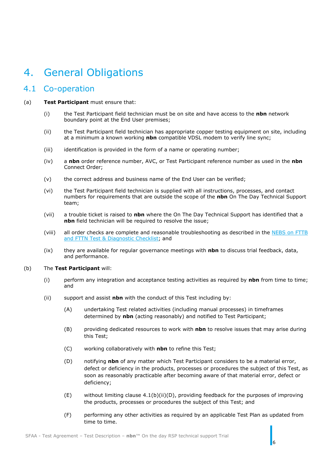# <span id="page-5-0"></span>4. General Obligations

### <span id="page-5-1"></span>4.1 Co-operation

#### (a) **Test Participant** must ensure that:

- (i) the Test Participant field technician must be on site and have access to the **nbn** network boundary point at the End User premises;
- (ii) the Test Participant field technician has appropriate copper testing equipment on site, including at a minimum a known working **nbn** compatible VDSL modem to verify line sync;
- (iii) identification is provided in the form of a name or operating number;
- (iv) a **nbn** order reference number, AVC, or Test Participant reference number as used in the **nbn** Connect Order;
- (v) the correct address and business name of the End User can be verified;
- (vi) the Test Participant field technician is supplied with all instructions, processes, and contact numbers for requirements that are outside the scope of the **nbn** On The Day Technical Support team;
- (vii) a trouble ticket is raised to **nbn** where the On The Day Technical Support has identified that a **nbn** field technician will be required to resolve the issue;
- (viii) all order checks are complete and reasonable troubleshooting as described in the [NEBS on FTTB](file://///nbnco.local/filestore/SYD-Users/scottordner/Desktop/NEBS%20on%20FTTB%20and%20FTTN%20Test%20&%20Diagnostic%20Checklist)  [and FTTN Test & Diagnostic Checklist;](file://///nbnco.local/filestore/SYD-Users/scottordner/Desktop/NEBS%20on%20FTTB%20and%20FTTN%20Test%20&%20Diagnostic%20Checklist) and
- (ix) they are available for regular governance meetings with **nbn** to discuss trial feedback, data, and performance.

#### (b) The **Test Participant** will:

- (i) perform any integration and acceptance testing activities as required by **nbn** from time to time; and
- <span id="page-5-2"></span>(ii) support and assist **nbn** with the conduct of this Test including by:
	- (A) undertaking Test related activities (including manual processes) in timeframes determined by **nbn** (acting reasonably) and notified to Test Participant;
	- (B) providing dedicated resources to work with **nbn** to resolve issues that may arise during this Test;
	- (C) working collaboratively with **nbn** to refine this Test;
	- (D) notifying **nbn** of any matter which Test Participant considers to be a material error, defect or deficiency in the products, processes or procedures the subject of this Test, as soon as reasonably practicable after becoming aware of that material error, defect or deficiency;
	- $(E)$  without limiting clause [4.1\(b\)\(ii\)\(D\),](#page-5-2) providing feedback for the purposes of improving the products, processes or procedures the subject of this Test; and
	- (F) performing any other activities as required by an applicable Test Plan as updated from time to time.

6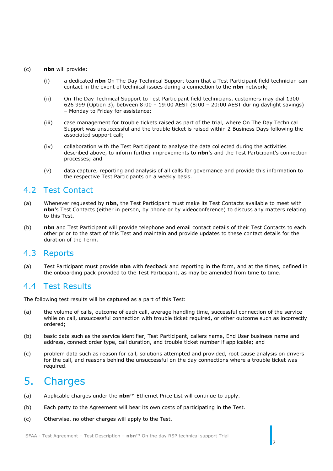#### (c) **nbn** will provide:

- (i) a dedicated **nbn** On The Day Technical Support team that a Test Participant field technician can contact in the event of technical issues during a connection to the **nbn** network;
- (ii) On The Day Technical Support to Test Participant field technicians, customers may dial 1300 626 999 (Option 3), between 8:00 – 19:00 AEST (8:00 – 20:00 AEST during daylight savings) – Monday to Friday for assistance;
- (iii) case management for trouble tickets raised as part of the trial, where On The Day Technical Support was unsuccessful and the trouble ticket is raised within 2 Business Days following the associated support call;
- (iv) collaboration with the Test Participant to analyse the data collected during the activities described above, to inform further improvements to **nbn**'s and the Test Participant's connection processes; and
- (v) data capture, reporting and analysis of all calls for governance and provide this information to the respective Test Participants on a weekly basis.

### <span id="page-6-0"></span>4.2 Test Contact

- (a) Whenever requested by **nbn**, the Test Participant must make its Test Contacts available to meet with **nbn**'s Test Contacts (either in person, by phone or by videoconference) to discuss any matters relating to this Test.
- (b) **nbn** and Test Participant will provide telephone and email contact details of their Test Contacts to each other prior to the start of this Test and maintain and provide updates to these contact details for the duration of the Term.

#### <span id="page-6-1"></span>4.3 Reports

(a) Test Participant must provide **nbn** with feedback and reporting in the form, and at the times, defined in the onboarding pack provided to the Test Participant, as may be amended from time to time.

#### <span id="page-6-2"></span>4.4 Test Results

The following test results will be captured as a part of this Test:

- (a) the volume of calls, outcome of each call, average handling time, successful connection of the service while on call, unsuccessful connection with trouble ticket required, or other outcome such as incorrectly ordered;
- (b) basic data such as the service identifier, Test Participant, callers name, End User business name and address, connect order type, call duration, and trouble ticket number if applicable; and
- (c) problem data such as reason for call, solutions attempted and provided, root cause analysis on drivers for the call, and reasons behind the unsuccessful on the day connections where a trouble ticket was required.

7

## <span id="page-6-3"></span>5. Charges

- (a) Applicable charges under the **nbn™** Ethernet Price List will continue to apply.
- (b) Each party to the Agreement will bear its own costs of participating in the Test.
- (c) Otherwise, no other charges will apply to the Test.

SFAA - Test Agreement – Test Description – **nbn**™ On the day RSP technical support Trial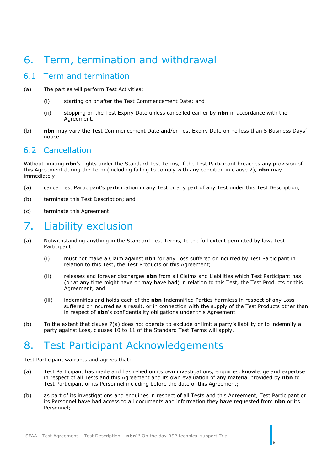## <span id="page-7-0"></span>6. Term, termination and withdrawal

### <span id="page-7-1"></span>6.1 Term and termination

- (a) The parties will perform Test Activities:
	- (i) starting on or after the Test Commencement Date; and
	- (ii) stopping on the Test Expiry Date unless cancelled earlier by **nbn** in accordance with the Agreement.
- <span id="page-7-5"></span>(b) **nbn** may vary the Test Commencement Date and/or Test Expiry Date on no less than 5 Business Days' notice.

### <span id="page-7-2"></span>6.2 Cancellation

Without limiting **nbn**'s rights under the Standard Test Terms, if the Test Participant breaches any provision of this Agreement during the Term (including failing to comply with any condition in clause [2\)](#page-4-0), **nbn** may immediately:

- (a) cancel Test Participant's participation in any Test or any part of any Test under this Test Description;
- (b) terminate this Test Description; and
- (c) terminate this Agreement.

## <span id="page-7-3"></span>7. Liability exclusion

- <span id="page-7-6"></span>(a) Notwithstanding anything in the Standard Test Terms, to the full extent permitted by law, Test Participant:
	- (i) must not make a Claim against **nbn** for any Loss suffered or incurred by Test Participant in relation to this Test, the Test Products or this Agreement;
	- (ii) releases and forever discharges **nbn** from all Claims and Liabilities which Test Participant has (or at any time might have or may have had) in relation to this Test, the Test Products or this Agreement; and
	- (iii) indemnifies and holds each of the **nbn** Indemnified Parties harmless in respect of any Loss suffered or incurred as a result, or in connection with the supply of the Test Products other than in respect of **nbn**'s confidentiality obligations under this Agreement.
- (b) To the extent that clause [7\(a\)](#page-7-6) does not operate to exclude or limit a party's liability or to indemnify a party against Loss, clauses 10 to 11 of the Standard Test Terms will apply.

# <span id="page-7-4"></span>8. Test Participant Acknowledgements

Test Participant warrants and agrees that:

- (a) Test Participant has made and has relied on its own investigations, enquiries, knowledge and expertise in respect of all Tests and this Agreement and its own evaluation of any material provided by **nbn** to Test Participant or its Personnel including before the date of this Agreement;
- (b) as part of its investigations and enquiries in respect of all Tests and this Agreement, Test Participant or its Personnel have had access to all documents and information they have requested from **nbn** or its Personnel;

 $\overline{8}$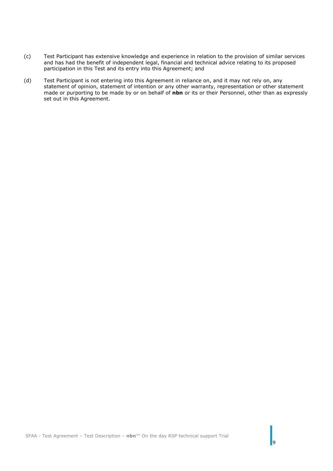- (c) Test Participant has extensive knowledge and experience in relation to the provision of similar services and has had the benefit of independent legal, financial and technical advice relating to its proposed participation in this Test and its entry into this Agreement; and
- (d) Test Participant is not entering into this Agreement in reliance on, and it may not rely on, any statement of opinion, statement of intention or any other warranty, representation or other statement made or purporting to be made by or on behalf of **nbn** or its or their Personnel, other than as expressly set out in this Agreement.

 $\overline{9}$